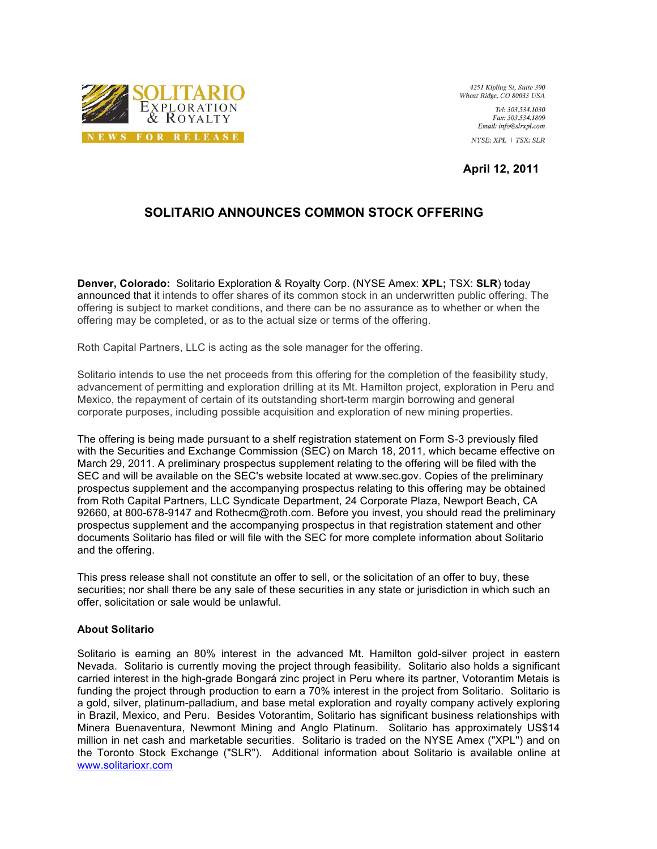

4251 Kipling St, Suite 390 Wheat Ridge, CO 80033 USA

> Tel: 303.534.1030 Fax: 303.534.1809  $Email: info@slrxpl.com$ NYSE: XPL | TSX: SLR

**April 12, 2011**

## **SOLITARIO ANNOUNCES COMMON STOCK OFFERING**

**Denver, Colorado:** Solitario Exploration & Royalty Corp. (NYSE Amex: **XPL;** TSX: **SLR**) today announced that it intends to offer shares of its common stock in an underwritten public offering. The offering is subject to market conditions, and there can be no assurance as to whether or when the offering may be completed, or as to the actual size or terms of the offering.

Roth Capital Partners, LLC is acting as the sole manager for the offering.

Solitario intends to use the net proceeds from this offering for the completion of the feasibility study, advancement of permitting and exploration drilling at its Mt. Hamilton project, exploration in Peru and Mexico, the repayment of certain of its outstanding short-term margin borrowing and general corporate purposes, including possible acquisition and exploration of new mining properties.

The offering is being made pursuant to a shelf registration statement on Form S-3 previously filed with the Securities and Exchange Commission (SEC) on March 18, 2011, which became effective on March 29, 2011. A preliminary prospectus supplement relating to the offering will be filed with the SEC and will be available on the SEC's website located at www.sec.gov. Copies of the preliminary prospectus supplement and the accompanying prospectus relating to this offering may be obtained from Roth Capital Partners, LLC Syndicate Department, 24 Corporate Plaza, Newport Beach, CA 92660, at 800-678-9147 and Rothecm@roth.com. Before you invest, you should read the preliminary prospectus supplement and the accompanying prospectus in that registration statement and other documents Solitario has filed or will file with the SEC for more complete information about Solitario and the offering.

This press release shall not constitute an offer to sell, or the solicitation of an offer to buy, these securities; nor shall there be any sale of these securities in any state or jurisdiction in which such an offer, solicitation or sale would be unlawful.

## **About Solitario**

Solitario is earning an 80% interest in the advanced Mt. Hamilton gold-silver project in eastern Nevada. Solitario is currently moving the project through feasibility. Solitario also holds a significant carried interest in the high-grade Bongará zinc project in Peru where its partner, Votorantim Metais is funding the project through production to earn a 70% interest in the project from Solitario. Solitario is a gold, silver, platinum-palladium, and base metal exploration and royalty company actively exploring in Brazil, Mexico, and Peru. Besides Votorantim, Solitario has significant business relationships with Minera Buenaventura, Newmont Mining and Anglo Platinum. Solitario has approximately US\$14 million in net cash and marketable securities. Solitario is traded on the NYSE Amex ("XPL") and on the Toronto Stock Exchange ("SLR"). Additional information about Solitario is available online at www.solitarioxr.com